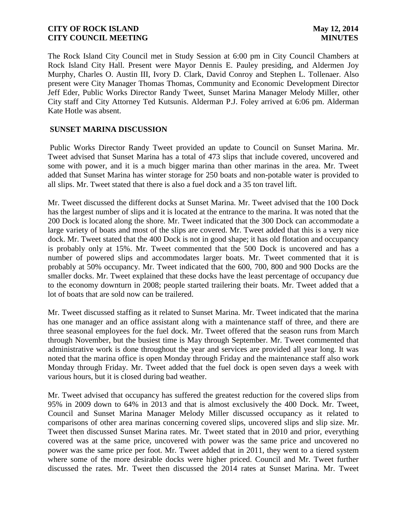The Rock Island City Council met in Study Session at 6:00 pm in City Council Chambers at Rock Island City Hall. Present were Mayor Dennis E. Pauley presiding, and Aldermen Joy Murphy, Charles O. Austin III, Ivory D. Clark, David Conroy and Stephen L. Tollenaer. Also present were City Manager Thomas Thomas, Community and Economic Development Director Jeff Eder, Public Works Director Randy Tweet, Sunset Marina Manager Melody Miller, other City staff and City Attorney Ted Kutsunis. Alderman P.J. Foley arrived at 6:06 pm. Alderman Kate Hotle was absent.

# **SUNSET MARINA DISCUSSION**

Public Works Director Randy Tweet provided an update to Council on Sunset Marina. Mr. Tweet advised that Sunset Marina has a total of 473 slips that include covered, uncovered and some with power, and it is a much bigger marina than other marinas in the area. Mr. Tweet added that Sunset Marina has winter storage for 250 boats and non-potable water is provided to all slips. Mr. Tweet stated that there is also a fuel dock and a 35 ton travel lift.

Mr. Tweet discussed the different docks at Sunset Marina. Mr. Tweet advised that the 100 Dock has the largest number of slips and it is located at the entrance to the marina. It was noted that the 200 Dock is located along the shore. Mr. Tweet indicated that the 300 Dock can accommodate a large variety of boats and most of the slips are covered. Mr. Tweet added that this is a very nice dock. Mr. Tweet stated that the 400 Dock is not in good shape; it has old flotation and occupancy is probably only at 15%. Mr. Tweet commented that the 500 Dock is uncovered and has a number of powered slips and accommodates larger boats. Mr. Tweet commented that it is probably at 50% occupancy. Mr. Tweet indicated that the 600, 700, 800 and 900 Docks are the smaller docks. Mr. Tweet explained that these docks have the least percentage of occupancy due to the economy downturn in 2008; people started trailering their boats. Mr. Tweet added that a lot of boats that are sold now can be trailered.

Mr. Tweet discussed staffing as it related to Sunset Marina. Mr. Tweet indicated that the marina has one manager and an office assistant along with a maintenance staff of three, and there are three seasonal employees for the fuel dock. Mr. Tweet offered that the season runs from March through November, but the busiest time is May through September. Mr. Tweet commented that administrative work is done throughout the year and services are provided all year long. It was noted that the marina office is open Monday through Friday and the maintenance staff also work Monday through Friday. Mr. Tweet added that the fuel dock is open seven days a week with various hours, but it is closed during bad weather.

Mr. Tweet advised that occupancy has suffered the greatest reduction for the covered slips from 95% in 2009 down to 64% in 2013 and that is almost exclusively the 400 Dock. Mr. Tweet, Council and Sunset Marina Manager Melody Miller discussed occupancy as it related to comparisons of other area marinas concerning covered slips, uncovered slips and slip size. Mr. Tweet then discussed Sunset Marina rates. Mr. Tweet stated that in 2010 and prior, everything covered was at the same price, uncovered with power was the same price and uncovered no power was the same price per foot. Mr. Tweet added that in 2011, they went to a tiered system where some of the more desirable docks were higher priced. Council and Mr. Tweet further discussed the rates. Mr. Tweet then discussed the 2014 rates at Sunset Marina. Mr. Tweet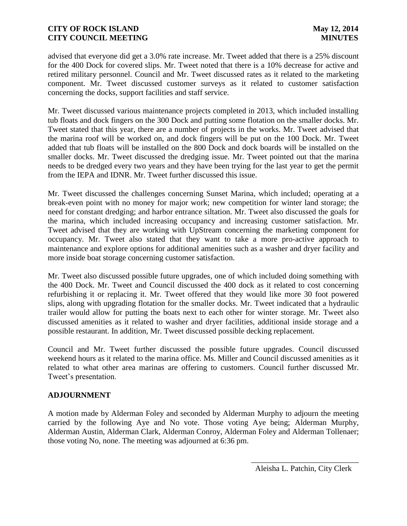advised that everyone did get a 3.0% rate increase. Mr. Tweet added that there is a 25% discount for the 400 Dock for covered slips. Mr. Tweet noted that there is a 10% decrease for active and retired military personnel. Council and Mr. Tweet discussed rates as it related to the marketing component. Mr. Tweet discussed customer surveys as it related to customer satisfaction concerning the docks, support facilities and staff service.

Mr. Tweet discussed various maintenance projects completed in 2013, which included installing tub floats and dock fingers on the 300 Dock and putting some flotation on the smaller docks. Mr. Tweet stated that this year, there are a number of projects in the works. Mr. Tweet advised that the marina roof will be worked on, and dock fingers will be put on the 100 Dock. Mr. Tweet added that tub floats will be installed on the 800 Dock and dock boards will be installed on the smaller docks. Mr. Tweet discussed the dredging issue. Mr. Tweet pointed out that the marina needs to be dredged every two years and they have been trying for the last year to get the permit from the IEPA and IDNR. Mr. Tweet further discussed this issue.

Mr. Tweet discussed the challenges concerning Sunset Marina, which included; operating at a break-even point with no money for major work; new competition for winter land storage; the need for constant dredging; and harbor entrance siltation. Mr. Tweet also discussed the goals for the marina, which included increasing occupancy and increasing customer satisfaction. Mr. Tweet advised that they are working with UpStream concerning the marketing component for occupancy. Mr. Tweet also stated that they want to take a more pro-active approach to maintenance and explore options for additional amenities such as a washer and dryer facility and more inside boat storage concerning customer satisfaction.

Mr. Tweet also discussed possible future upgrades, one of which included doing something with the 400 Dock. Mr. Tweet and Council discussed the 400 dock as it related to cost concerning refurbishing it or replacing it. Mr. Tweet offered that they would like more 30 foot powered slips, along with upgrading flotation for the smaller docks. Mr. Tweet indicated that a hydraulic trailer would allow for putting the boats next to each other for winter storage. Mr. Tweet also discussed amenities as it related to washer and dryer facilities, additional inside storage and a possible restaurant. In addition, Mr. Tweet discussed possible decking replacement.

Council and Mr. Tweet further discussed the possible future upgrades. Council discussed weekend hours as it related to the marina office. Ms. Miller and Council discussed amenities as it related to what other area marinas are offering to customers. Council further discussed Mr. Tweet's presentation.

# **ADJOURNMENT**

A motion made by Alderman Foley and seconded by Alderman Murphy to adjourn the meeting carried by the following Aye and No vote. Those voting Aye being; Alderman Murphy, Alderman Austin, Alderman Clark, Alderman Conroy, Alderman Foley and Alderman Tollenaer; those voting No, none. The meeting was adjourned at 6:36 pm.

 $\frac{1}{2}$  , and the set of the set of the set of the set of the set of the set of the set of the set of the set of the set of the set of the set of the set of the set of the set of the set of the set of the set of the set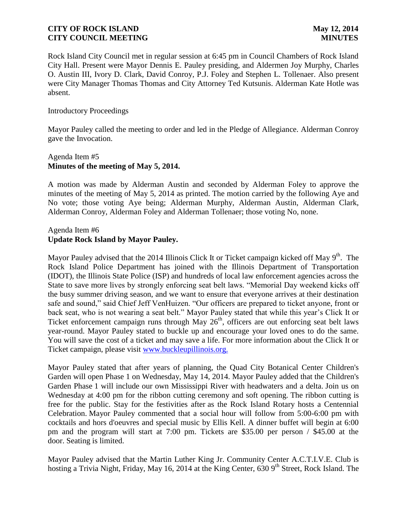Rock Island City Council met in regular session at 6:45 pm in Council Chambers of Rock Island City Hall. Present were Mayor Dennis E. Pauley presiding, and Aldermen Joy Murphy, Charles O. Austin III, Ivory D. Clark, David Conroy, P.J. Foley and Stephen L. Tollenaer. Also present were City Manager Thomas Thomas and City Attorney Ted Kutsunis. Alderman Kate Hotle was absent.

### Introductory Proceedings

Mayor Pauley called the meeting to order and led in the Pledge of Allegiance. Alderman Conroy gave the Invocation.

# Agenda Item #5 **Minutes of the meeting of May 5, 2014.**

A motion was made by Alderman Austin and seconded by Alderman Foley to approve the minutes of the meeting of May 5, 2014 as printed. The motion carried by the following Aye and No vote; those voting Aye being; Alderman Murphy, Alderman Austin, Alderman Clark, Alderman Conroy, Alderman Foley and Alderman Tollenaer; those voting No, none.

# Agenda Item #6 **Update Rock Island by Mayor Pauley.**

Mayor Pauley advised that the 2014 Illinois Click It or Ticket campaign kicked off May 9<sup>th</sup>. The Rock Island Police Department has joined with the Illinois Department of Transportation (IDOT), the Illinois State Police (ISP) and hundreds of local law enforcement agencies across the State to save more lives by strongly enforcing seat belt laws. "Memorial Day weekend kicks off the busy summer driving season, and we want to ensure that everyone arrives at their destination safe and sound," said Chief Jeff VenHuizen. "Our officers are prepared to ticket anyone, front or back seat, who is not wearing a seat belt." Mayor Pauley stated that while this year's Click It or Ticket enforcement campaign runs through May  $26<sup>th</sup>$ , officers are out enforcing seat belt laws year-round. Mayor Pauley stated to buckle up and encourage your loved ones to do the same. You will save the cost of a ticket and may save a life. For more information about the Click It or Ticket campaign, please visit [www.buckleupillinois.org.](http://www.buckleupillinois.org/)

Mayor Pauley stated that after years of planning, the Quad City Botanical Center Children's Garden will open Phase 1 on Wednesday, May 14, 2014. Mayor Pauley added that the Children's Garden Phase 1 will include our own Mississippi River with headwaters and a delta. Join us on Wednesday at 4:00 pm for the ribbon cutting ceremony and soft opening. The ribbon cutting is free for the public. Stay for the festivities after as the Rock Island Rotary hosts a Centennial Celebration. Mayor Pauley commented that a social hour will follow from 5:00-6:00 pm with cocktails and hors d'oeuvres and special music by Ellis Kell. A dinner buffet will begin at 6:00 pm and the program will start at 7:00 pm. Tickets are \$35.00 per person / \$45.00 at the door. Seating is limited.

Mayor Pauley advised that the Martin Luther King Jr. Community Center A.C.T.I.V.E. Club is hosting a Trivia Night, Friday, May 16, 2014 at the King Center, 630 9<sup>th</sup> Street, Rock Island. The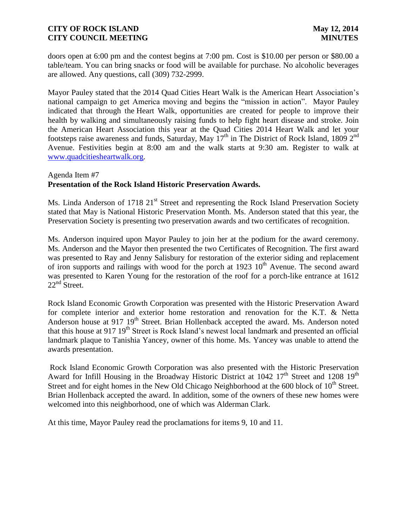doors open at 6:00 pm and the contest begins at 7:00 pm. Cost is \$10.00 per person or \$80.00 a table/team. You can bring snacks or food will be available for purchase. No alcoholic beverages are allowed. Any questions, call (309) 732-2999.

Mayor Pauley stated that the 2014 Quad Cities Heart Walk is the American Heart Association's national campaign to get America moving and begins the "mission in action". Mayor Pauley indicated that through the Heart Walk, opportunities are created for people to improve their health by walking and simultaneously raising funds to help fight heart disease and stroke. Join the American Heart Association this year at the Quad Cities 2014 Heart Walk and let your footsteps raise awareness and funds, Saturday, May  $17<sup>th</sup>$  in The District of Rock Island, 1809  $2<sup>nd</sup>$ Avenue. Festivities begin at 8:00 am and the walk starts at 9:30 am. Register to walk at [www.quadcitiesheartwalk.org.](http://www.quadcitiesheartwalk.org/)

## Agenda Item #7 **Presentation of the Rock Island Historic Preservation Awards.**

Ms. Linda Anderson of 1718 21<sup>st</sup> Street and representing the Rock Island Preservation Society stated that May is National Historic Preservation Month. Ms. Anderson stated that this year, the Preservation Society is presenting two preservation awards and two certificates of recognition.

Ms. Anderson inquired upon Mayor Pauley to join her at the podium for the award ceremony. Ms. Anderson and the Mayor then presented the two Certificates of Recognition. The first award was presented to Ray and Jenny Salisbury for restoration of the exterior siding and replacement of iron supports and railings with wood for the porch at  $1923 \, 10^{th}$  Avenue. The second award was presented to Karen Young for the restoration of the roof for a porch-like entrance at 1612 22<sup>nd</sup> Street.

Rock Island Economic Growth Corporation was presented with the Historic Preservation Award for complete interior and exterior home restoration and renovation for the K.T. & Netta Anderson house at 917 19<sup>th</sup> Street. Brian Hollenback accepted the award. Ms. Anderson noted that this house at 917 19<sup>th</sup> Street is Rock Island's newest local landmark and presented an official landmark plaque to Tanishia Yancey, owner of this home. Ms. Yancey was unable to attend the awards presentation.

Rock Island Economic Growth Corporation was also presented with the Historic Preservation Award for Infill Housing in the Broadway Historic District at 1042 17<sup>th</sup> Street and 1208 19<sup>th</sup> Street and for eight homes in the New Old Chicago Neighborhood at the  $600$  block of  $10<sup>th</sup>$  Street. Brian Hollenback accepted the award. In addition, some of the owners of these new homes were welcomed into this neighborhood, one of which was Alderman Clark.

At this time, Mayor Pauley read the proclamations for items 9, 10 and 11.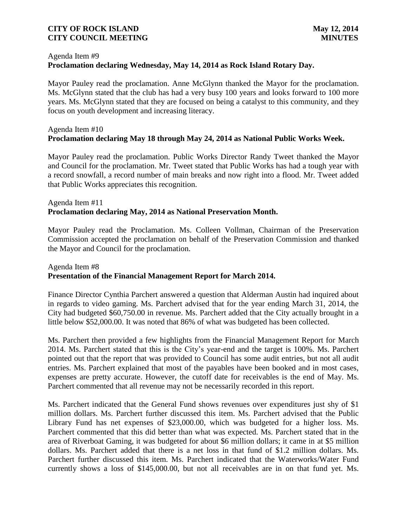# Agenda Item #9 **Proclamation declaring Wednesday, May 14, 2014 as Rock Island Rotary Day.**

Mayor Pauley read the proclamation. Anne McGlynn thanked the Mayor for the proclamation. Ms. McGlynn stated that the club has had a very busy 100 years and looks forward to 100 more years. Ms. McGlynn stated that they are focused on being a catalyst to this community, and they focus on youth development and increasing literacy.

# Agenda Item #10 **Proclamation declaring May 18 through May 24, 2014 as National Public Works Week.**

Mayor Pauley read the proclamation. Public Works Director Randy Tweet thanked the Mayor and Council for the proclamation. Mr. Tweet stated that Public Works has had a tough year with a record snowfall, a record number of main breaks and now right into a flood. Mr. Tweet added that Public Works appreciates this recognition.

# Agenda Item #11 **Proclamation declaring May, 2014 as National Preservation Month.**

Mayor Pauley read the Proclamation. Ms. Colleen Vollman, Chairman of the Preservation Commission accepted the proclamation on behalf of the Preservation Commission and thanked the Mayor and Council for the proclamation.

# Agenda Item #8 **Presentation of the Financial Management Report for March 2014.**

Finance Director Cynthia Parchert answered a question that Alderman Austin had inquired about in regards to video gaming. Ms. Parchert advised that for the year ending March 31, 2014, the City had budgeted \$60,750.00 in revenue. Ms. Parchert added that the City actually brought in a little below \$52,000.00. It was noted that 86% of what was budgeted has been collected.

Ms. Parchert then provided a few highlights from the Financial Management Report for March 2014. Ms. Parchert stated that this is the City's year-end and the target is 100%. Ms. Parchert pointed out that the report that was provided to Council has some audit entries, but not all audit entries. Ms. Parchert explained that most of the payables have been booked and in most cases, expenses are pretty accurate. However, the cutoff date for receivables is the end of May. Ms. Parchert commented that all revenue may not be necessarily recorded in this report.

Ms. Parchert indicated that the General Fund shows revenues over expenditures just shy of \$1 million dollars. Ms. Parchert further discussed this item. Ms. Parchert advised that the Public Library Fund has net expenses of \$23,000.00, which was budgeted for a higher loss. Ms. Parchert commented that this did better than what was expected. Ms. Parchert stated that in the area of Riverboat Gaming, it was budgeted for about \$6 million dollars; it came in at \$5 million dollars. Ms. Parchert added that there is a net loss in that fund of \$1.2 million dollars. Ms. Parchert further discussed this item. Ms. Parchert indicated that the Waterworks/Water Fund currently shows a loss of \$145,000.00, but not all receivables are in on that fund yet. Ms.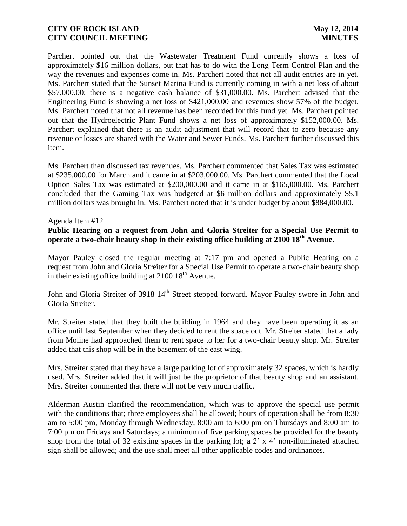Parchert pointed out that the Wastewater Treatment Fund currently shows a loss of approximately \$16 million dollars, but that has to do with the Long Term Control Plan and the way the revenues and expenses come in. Ms. Parchert noted that not all audit entries are in yet. Ms. Parchert stated that the Sunset Marina Fund is currently coming in with a net loss of about \$57,000.00; there is a negative cash balance of \$31,000.00. Ms. Parchert advised that the Engineering Fund is showing a net loss of \$421,000.00 and revenues show 57% of the budget. Ms. Parchert noted that not all revenue has been recorded for this fund yet. Ms. Parchert pointed out that the Hydroelectric Plant Fund shows a net loss of approximately \$152,000.00. Ms. Parchert explained that there is an audit adjustment that will record that to zero because any revenue or losses are shared with the Water and Sewer Funds. Ms. Parchert further discussed this item.

Ms. Parchert then discussed tax revenues. Ms. Parchert commented that Sales Tax was estimated at \$235,000.00 for March and it came in at \$203,000.00. Ms. Parchert commented that the Local Option Sales Tax was estimated at \$200,000.00 and it came in at \$165,000.00. Ms. Parchert concluded that the Gaming Tax was budgeted at \$6 million dollars and approximately \$5.1 million dollars was brought in. Ms. Parchert noted that it is under budget by about \$884,000.00.

### Agenda Item #12

### **Public Hearing on a request from John and Gloria Streiter for a Special Use Permit to operate a two-chair beauty shop in their existing office building at 2100 18th Avenue.**

Mayor Pauley closed the regular meeting at 7:17 pm and opened a Public Hearing on a request from John and Gloria Streiter for a Special Use Permit to operate a two-chair beauty shop in their existing office building at 2100 18<sup>th</sup> Avenue.

John and Gloria Streiter of 3918 14<sup>th</sup> Street stepped forward. Mayor Pauley swore in John and Gloria Streiter.

Mr. Streiter stated that they built the building in 1964 and they have been operating it as an office until last September when they decided to rent the space out. Mr. Streiter stated that a lady from Moline had approached them to rent space to her for a two-chair beauty shop. Mr. Streiter added that this shop will be in the basement of the east wing.

Mrs. Streiter stated that they have a large parking lot of approximately 32 spaces, which is hardly used. Mrs. Streiter added that it will just be the proprietor of that beauty shop and an assistant. Mrs. Streiter commented that there will not be very much traffic.

Alderman Austin clarified the recommendation, which was to approve the special use permit with the conditions that; three employees shall be allowed; hours of operation shall be from 8:30 am to 5:00 pm, Monday through Wednesday, 8:00 am to 6:00 pm on Thursdays and 8:00 am to 7:00 pm on Fridays and Saturdays; a minimum of five parking spaces be provided for the beauty shop from the total of 32 existing spaces in the parking lot; a 2' x 4' non-illuminated attached sign shall be allowed; and the use shall meet all other applicable codes and ordinances.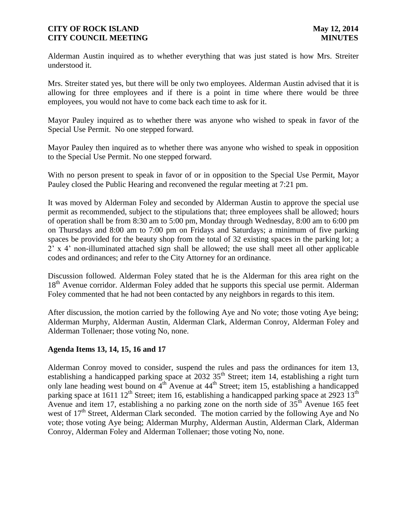Alderman Austin inquired as to whether everything that was just stated is how Mrs. Streiter understood it.

Mrs. Streiter stated yes, but there will be only two employees. Alderman Austin advised that it is allowing for three employees and if there is a point in time where there would be three employees, you would not have to come back each time to ask for it.

Mayor Pauley inquired as to whether there was anyone who wished to speak in favor of the Special Use Permit. No one stepped forward.

Mayor Pauley then inquired as to whether there was anyone who wished to speak in opposition to the Special Use Permit. No one stepped forward.

With no person present to speak in favor of or in opposition to the Special Use Permit, Mayor Pauley closed the Public Hearing and reconvened the regular meeting at 7:21 pm.

It was moved by Alderman Foley and seconded by Alderman Austin to approve the special use permit as recommended, subject to the stipulations that; three employees shall be allowed; hours of operation shall be from 8:30 am to 5:00 pm, Monday through Wednesday, 8:00 am to 6:00 pm on Thursdays and 8:00 am to 7:00 pm on Fridays and Saturdays; a minimum of five parking spaces be provided for the beauty shop from the total of 32 existing spaces in the parking lot; a 2' x 4' non-illuminated attached sign shall be allowed; the use shall meet all other applicable codes and ordinances; and refer to the City Attorney for an ordinance.

Discussion followed. Alderman Foley stated that he is the Alderman for this area right on the 18<sup>th</sup> Avenue corridor. Alderman Foley added that he supports this special use permit. Alderman Foley commented that he had not been contacted by any neighbors in regards to this item.

After discussion, the motion carried by the following Aye and No vote; those voting Aye being; Alderman Murphy, Alderman Austin, Alderman Clark, Alderman Conroy, Alderman Foley and Alderman Tollenaer; those voting No, none.

## **Agenda Items 13, 14, 15, 16 and 17**

Alderman Conroy moved to consider, suspend the rules and pass the ordinances for item 13, establishing a handicapped parking space at 2032 35<sup>th</sup> Street; item 14, establishing a right turn only lane heading west bound on  $\tilde{4}^{\text{th}}$  Avenue at  $44^{\text{th}}$  Street; item 15, establishing a handicapped parking space at  $1611 \frac{12^{th}}{25}$  Street; item 16, establishing a handicapped parking space at 2923  $13^{th}$ Avenue and item 17, establishing a no parking zone on the north side of  $35<sup>th</sup>$  Avenue 165 feet west of  $17<sup>th</sup>$  Street, Alderman Clark seconded. The motion carried by the following Aye and No vote; those voting Aye being; Alderman Murphy, Alderman Austin, Alderman Clark, Alderman Conroy, Alderman Foley and Alderman Tollenaer; those voting No, none.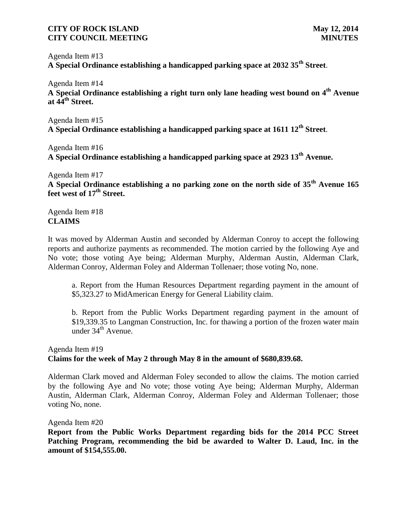Agenda Item #13

**A Special Ordinance establishing a handicapped parking space at 2032 35th Street**.

Agenda Item #14 **A Special Ordinance establishing a right turn only lane heading west bound on 4th Avenue at 44th Street.** 

Agenda Item #15 **A Special Ordinance establishing a handicapped parking space at 1611 12th Street**.

Agenda Item #16 **A Special Ordinance establishing a handicapped parking space at 2923 13th Avenue.**

Agenda Item #17

**A Special Ordinance establishing a no parking zone on the north side of 35th Avenue 165 feet west of 17th Street.**

Agenda Item #18 **CLAIMS**

It was moved by Alderman Austin and seconded by Alderman Conroy to accept the following reports and authorize payments as recommended. The motion carried by the following Aye and No vote; those voting Aye being; Alderman Murphy, Alderman Austin, Alderman Clark, Alderman Conroy, Alderman Foley and Alderman Tollenaer; those voting No, none.

a. Report from the Human Resources Department regarding payment in the amount of \$5,323.27 to MidAmerican Energy for General Liability claim.

b. Report from the Public Works Department regarding payment in the amount of \$19,339.35 to Langman Construction, Inc. for thawing a portion of the frozen water main under  $34<sup>th</sup>$  Avenue.

# Agenda Item #19 **Claims for the week of May 2 through May 8 in the amount of \$680,839.68.**

Alderman Clark moved and Alderman Foley seconded to allow the claims. The motion carried by the following Aye and No vote; those voting Aye being; Alderman Murphy, Alderman Austin, Alderman Clark, Alderman Conroy, Alderman Foley and Alderman Tollenaer; those voting No, none.

Agenda Item #20

**Report from the Public Works Department regarding bids for the 2014 PCC Street Patching Program, recommending the bid be awarded to Walter D. Laud, Inc. in the amount of \$154,555.00.**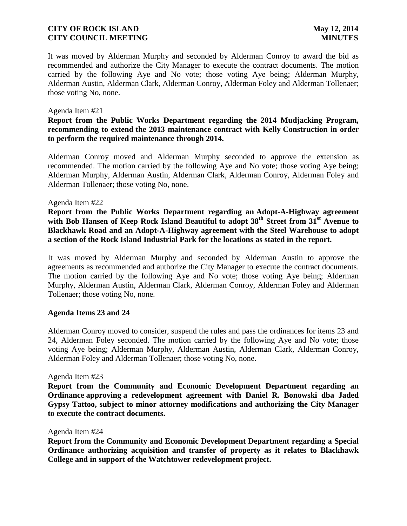It was moved by Alderman Murphy and seconded by Alderman Conroy to award the bid as recommended and authorize the City Manager to execute the contract documents. The motion carried by the following Aye and No vote; those voting Aye being; Alderman Murphy, Alderman Austin, Alderman Clark, Alderman Conroy, Alderman Foley and Alderman Tollenaer; those voting No, none.

### Agenda Item #21

# **Report from the Public Works Department regarding the 2014 Mudjacking Program, recommending to extend the 2013 maintenance contract with Kelly Construction in order to perform the required maintenance through 2014.**

Alderman Conroy moved and Alderman Murphy seconded to approve the extension as recommended. The motion carried by the following Aye and No vote; those voting Aye being; Alderman Murphy, Alderman Austin, Alderman Clark, Alderman Conroy, Alderman Foley and Alderman Tollenaer; those voting No, none.

### Agenda Item #22

**Report from the Public Works Department regarding an Adopt-A-Highway agreement with Bob Hansen of Keep Rock Island Beautiful to adopt 38th Street from 31st Avenue to Blackhawk Road and an Adopt-A-Highway agreement with the Steel Warehouse to adopt a section of the Rock Island Industrial Park for the locations as stated in the report.**

It was moved by Alderman Murphy and seconded by Alderman Austin to approve the agreements as recommended and authorize the City Manager to execute the contract documents. The motion carried by the following Aye and No vote; those voting Aye being; Alderman Murphy, Alderman Austin, Alderman Clark, Alderman Conroy, Alderman Foley and Alderman Tollenaer; those voting No, none.

## **Agenda Items 23 and 24**

Alderman Conroy moved to consider, suspend the rules and pass the ordinances for items 23 and 24, Alderman Foley seconded. The motion carried by the following Aye and No vote; those voting Aye being; Alderman Murphy, Alderman Austin, Alderman Clark, Alderman Conroy, Alderman Foley and Alderman Tollenaer; those voting No, none.

Agenda Item #23

**Report from the Community and Economic Development Department regarding an Ordinance approving a redevelopment agreement with Daniel R. Bonowski dba Jaded Gypsy Tattoo, subject to minor attorney modifications and authorizing the City Manager to execute the contract documents.**

Agenda Item #24

**Report from the Community and Economic Development Department regarding a Special Ordinance authorizing acquisition and transfer of property as it relates to Blackhawk College and in support of the Watchtower redevelopment project.**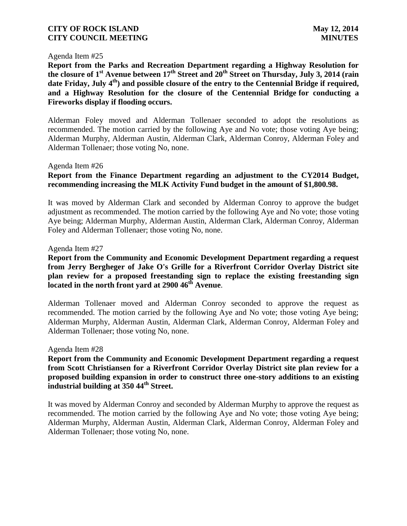#### Agenda Item #25

**Report from the Parks and Recreation Department regarding a Highway Resolution for the closure of 1st Avenue between 17th Street and 20th Street on Thursday, July 3, 2014 (rain**  date Friday, July 4<sup>th</sup>) and possible closure of the entry to the Centennial Bridge if required, **and a Highway Resolution for the closure of the Centennial Bridge for conducting a Fireworks display if flooding occurs.**

Alderman Foley moved and Alderman Tollenaer seconded to adopt the resolutions as recommended. The motion carried by the following Aye and No vote; those voting Aye being; Alderman Murphy, Alderman Austin, Alderman Clark, Alderman Conroy, Alderman Foley and Alderman Tollenaer; those voting No, none.

#### Agenda Item #26

# **Report from the Finance Department regarding an adjustment to the CY2014 Budget, recommending increasing the MLK Activity Fund budget in the amount of \$1,800.98.**

It was moved by Alderman Clark and seconded by Alderman Conroy to approve the budget adjustment as recommended. The motion carried by the following Aye and No vote; those voting Aye being; Alderman Murphy, Alderman Austin, Alderman Clark, Alderman Conroy, Alderman Foley and Alderman Tollenaer; those voting No, none.

#### Agenda Item #27

**Report from the Community and Economic Development Department regarding a request from Jerry Bergheger of Jake O's Grille for a Riverfront Corridor Overlay District site plan review for a proposed freestanding sign to replace the existing freestanding sign located in the north front yard at 2900 46th Avenue**.

Alderman Tollenaer moved and Alderman Conroy seconded to approve the request as recommended. The motion carried by the following Aye and No vote; those voting Aye being; Alderman Murphy, Alderman Austin, Alderman Clark, Alderman Conroy, Alderman Foley and Alderman Tollenaer; those voting No, none.

#### Agenda Item #28

**Report from the Community and Economic Development Department regarding a request from Scott Christiansen for a Riverfront Corridor Overlay District site plan review for a proposed building expansion in order to construct three one-story additions to an existing industrial building at 350 44th Street.**

It was moved by Alderman Conroy and seconded by Alderman Murphy to approve the request as recommended. The motion carried by the following Aye and No vote; those voting Aye being; Alderman Murphy, Alderman Austin, Alderman Clark, Alderman Conroy, Alderman Foley and Alderman Tollenaer; those voting No, none.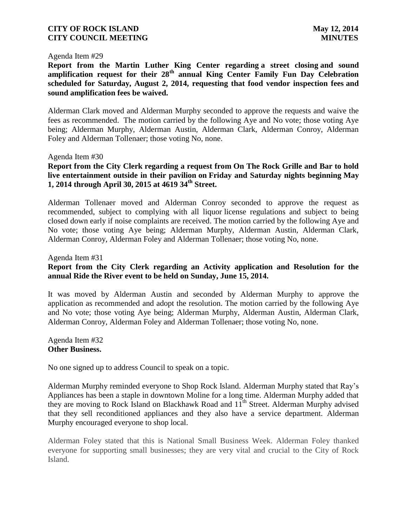#### Agenda Item #29

**Report from the Martin Luther King Center regarding a street closing and sound amplification request for their 28th annual King Center Family Fun Day Celebration scheduled for Saturday, August 2, 2014, requesting that food vendor inspection fees and sound amplification fees be waived.** 

Alderman Clark moved and Alderman Murphy seconded to approve the requests and waive the fees as recommended. The motion carried by the following Aye and No vote; those voting Aye being; Alderman Murphy, Alderman Austin, Alderman Clark, Alderman Conroy, Alderman Foley and Alderman Tollenaer; those voting No, none.

#### Agenda Item #30

# **Report from the City Clerk regarding a request from On The Rock Grille and Bar to hold live entertainment outside in their pavilion on Friday and Saturday nights beginning May 1, 2014 through April 30, 2015 at 4619 34th Street.**

Alderman Tollenaer moved and Alderman Conroy seconded to approve the request as recommended, subject to complying with all liquor license regulations and subject to being closed down early if noise complaints are received. The motion carried by the following Aye and No vote; those voting Aye being; Alderman Murphy, Alderman Austin, Alderman Clark, Alderman Conroy, Alderman Foley and Alderman Tollenaer; those voting No, none.

Agenda Item #31

# **Report from the City Clerk regarding an Activity application and Resolution for the annual Ride the River event to be held on Sunday, June 15, 2014.**

It was moved by Alderman Austin and seconded by Alderman Murphy to approve the application as recommended and adopt the resolution. The motion carried by the following Aye and No vote; those voting Aye being; Alderman Murphy, Alderman Austin, Alderman Clark, Alderman Conroy, Alderman Foley and Alderman Tollenaer; those voting No, none.

Agenda Item #32 **Other Business.**

No one signed up to address Council to speak on a topic.

Alderman Murphy reminded everyone to Shop Rock Island. Alderman Murphy stated that Ray's Appliances has been a staple in downtown Moline for a long time. Alderman Murphy added that they are moving to Rock Island on Blackhawk Road and  $11<sup>th</sup>$  Street. Alderman Murphy advised that they sell reconditioned appliances and they also have a service department. Alderman Murphy encouraged everyone to shop local.

Alderman Foley stated that this is National Small Business Week. Alderman Foley thanked everyone for supporting small businesses; they are very vital and crucial to the City of Rock Island.